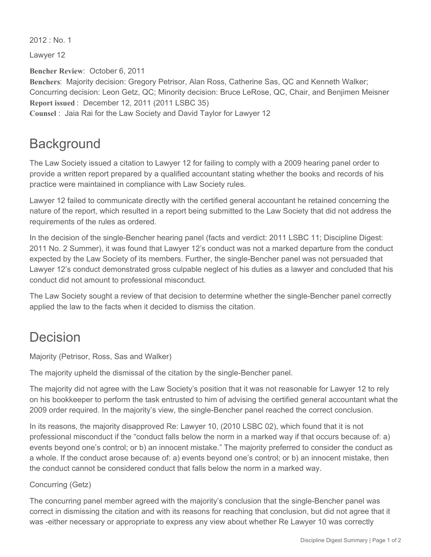$2012 \cdot$  No. 1

Lawyer 12

**Bencher Review**: October 6, 2011 **Benchers**: Majority decision: Gregory Petrisor, Alan Ross, Catherine Sas, QC and Kenneth Walker; Concurring decision: Leon Getz, QC; Minority decision: Bruce LeRose, QC, Chair, and Benjimen Meisner **Report issued** : December 12, 2011 (2011 LSBC 35) **Counsel** : Jaia Rai for the Law Society and David Taylor for Lawyer 12

## **Background**

The Law Society issued a citation to Lawyer 12 for failing to comply with a 2009 hearing panel order to provide a written report prepared by a qualified accountant stating whether the books and records of his practice were maintained in compliance with Law Society rules.

Lawyer 12 failed to communicate directly with the certified general accountant he retained concerning the nature of the report, which resulted in a report being submitted to the Law Society that did not address the requirements of the rules as ordered.

In the decision of the single-Bencher hearing panel (facts and verdict: 2011 LSBC 11; Discipline Digest: 2011 No. 2 Summer), it was found that Lawyer 12's conduct was not a marked departure from the conduct expected by the Law Society of its members. Further, the single-Bencher panel was not persuaded that Lawyer 12's conduct demonstrated gross culpable neglect of his duties as a lawyer and concluded that his conduct did not amount to professional misconduct.

The Law Society sought a review of that decision to determine whether the single-Bencher panel correctly applied the law to the facts when it decided to dismiss the citation.

## Decision

Majority (Petrisor, Ross, Sas and Walker)

The majority upheld the dismissal of the citation by the single-Bencher panel.

The majority did not agree with the Law Society's position that it was not reasonable for Lawyer 12 to rely on his bookkeeper to perform the task entrusted to him of advising the certified general accountant what the 2009 order required. In the majority's view, the single-Bencher panel reached the correct conclusion.

In its reasons, the majority disapproved Re: Lawyer 10, (2010 LSBC 02), which found that it is not professional misconduct if the "conduct falls below the norm in a marked way if that occurs because of: a) events beyond one's control; or b) an innocent mistake." The majority preferred to consider the conduct as a whole. If the conduct arose because of: a) events beyond one's control; or b) an innocent mistake, then the conduct cannot be considered conduct that falls below the norm in a marked way.

## Concurring (Getz)

The concurring panel member agreed with the majority's conclusion that the single-Bencher panel was correct in dismissing the citation and with its reasons for reaching that conclusion, but did not agree that it was -either necessary or appropriate to express any view about whether Re Lawyer 10 was correctly